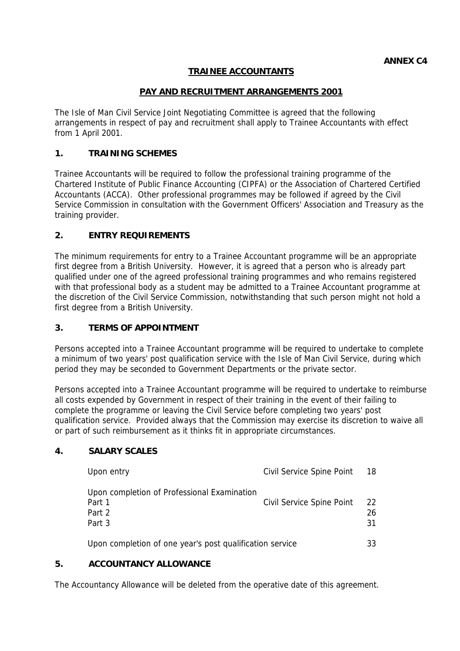# **TRAINEE ACCOUNTANTS**

# **PAY AND RECRUITMENT ARRANGEMENTS 2001**

The Isle of Man Civil Service Joint Negotiating Committee is agreed that the following arrangements in respect of pay and recruitment shall apply to Trainee Accountants with effect from 1 April 2001.

### **1. TRAINING SCHEMES**

Trainee Accountants will be required to follow the professional training programme of the Chartered Institute of Public Finance Accounting (CIPFA) or the Association of Chartered Certified Accountants (ACCA). Other professional programmes may be followed if agreed by the Civil Service Commission in consultation with the Government Officers' Association and Treasury as the training provider.

### **2. ENTRY REQUIREMENTS**

The minimum requirements for entry to a Trainee Accountant programme will be an appropriate first degree from a British University. However, it is agreed that a person who is already part qualified under one of the agreed professional training programmes and who remains registered with that professional body as a student may be admitted to a Trainee Accountant programme at the discretion of the Civil Service Commission, notwithstanding that such person might not hold a first degree from a British University.

#### **3. TERMS OF APPOINTMENT**

Persons accepted into a Trainee Accountant programme will be required to undertake to complete a minimum of two years' post qualification service with the Isle of Man Civil Service, during which period they may be seconded to Government Departments or the private sector.

Persons accepted into a Trainee Accountant programme will be required to undertake to reimburse all costs expended by Government in respect of their training in the event of their failing to complete the programme or leaving the Civil Service before completing two years' post qualification service. Provided always that the Commission may exercise its discretion to waive all or part of such reimbursement as it thinks fit in appropriate circumstances.

#### **4. SALARY SCALES**

| Upon entry                                                                | Civil Service Spine Point | -18            |
|---------------------------------------------------------------------------|---------------------------|----------------|
| Upon completion of Professional Examination<br>Part 1<br>Part 2<br>Part 3 | Civil Service Spine Point | 22<br>26<br>31 |
| Upon completion of one year's post qualification service                  |                           | 33             |

#### **5. ACCOUNTANCY ALLOWANCE**

The Accountancy Allowance will be deleted from the operative date of this agreement.